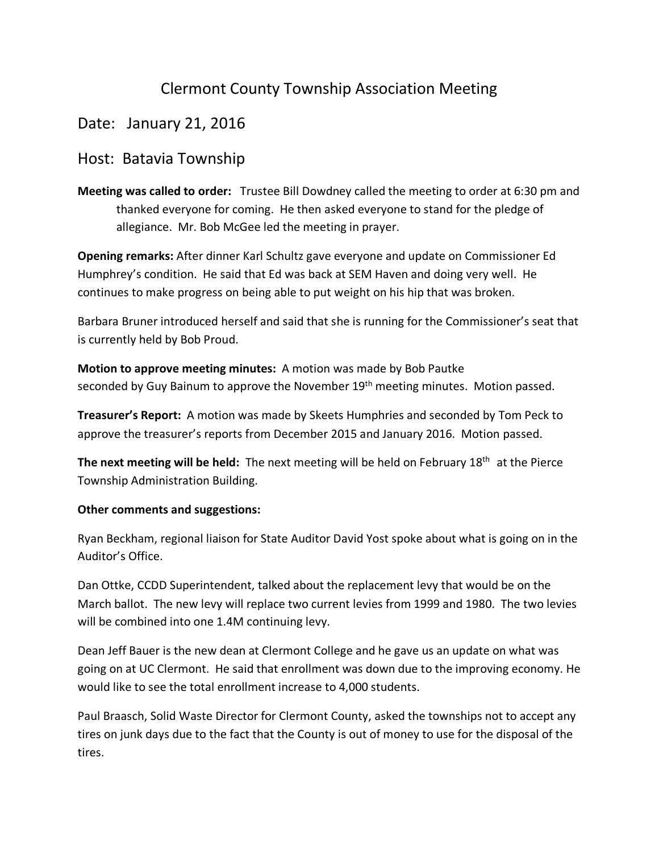## Clermont County Township Association Meeting

## Date: January 21, 2016

## Host: Batavia Township

**Meeting was called to order:** Trustee Bill Dowdney called the meeting to order at 6:30 pm and thanked everyone for coming. He then asked everyone to stand for the pledge of allegiance. Mr. Bob McGee led the meeting in prayer.

**Opening remarks:** After dinner Karl Schultz gave everyone and update on Commissioner Ed Humphrey's condition. He said that Ed was back at SEM Haven and doing very well. He continues to make progress on being able to put weight on his hip that was broken.

Barbara Bruner introduced herself and said that she is running for the Commissioner's seat that is currently held by Bob Proud.

**Motion to approve meeting minutes:** A motion was made by Bob Pautke seconded by Guy Bainum to approve the November 19<sup>th</sup> meeting minutes. Motion passed.

**Treasurer's Report:** A motion was made by Skeets Humphries and seconded by Tom Peck to approve the treasurer's reports from December 2015 and January 2016. Motion passed.

**The next meeting will be held:** The next meeting will be held on February 18th at the Pierce Township Administration Building.

## **Other comments and suggestions:**

Ryan Beckham, regional liaison for State Auditor David Yost spoke about what is going on in the Auditor's Office.

Dan Ottke, CCDD Superintendent, talked about the replacement levy that would be on the March ballot. The new levy will replace two current levies from 1999 and 1980. The two levies will be combined into one 1.4M continuing levy.

Dean Jeff Bauer is the new dean at Clermont College and he gave us an update on what was going on at UC Clermont. He said that enrollment was down due to the improving economy. He would like to see the total enrollment increase to 4,000 students.

Paul Braasch, Solid Waste Director for Clermont County, asked the townships not to accept any tires on junk days due to the fact that the County is out of money to use for the disposal of the tires.